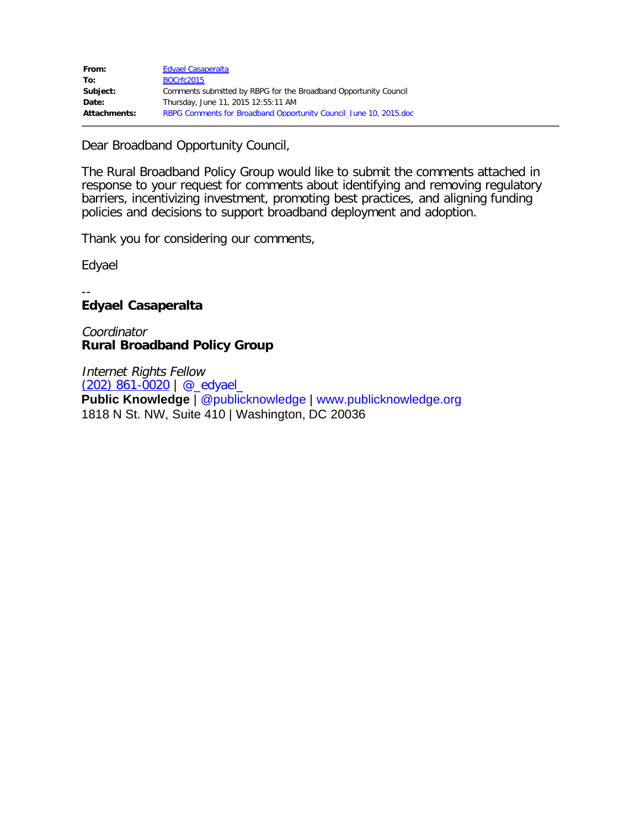Dear Broadband Opportunity Council,

The Rural Broadband Policy Group would like to submit the comments attached in response to your request for comments about identifying and removing regulatory barriers, incentivizing investment, promoting best practices, and aligning funding policies and decisions to support broadband deployment and adoption.

Thank you for considering our comments,

Edyael

#### -- **Edyael Casaperalta**

Coordinator **Rural Broadband Policy Group**

Internet Rights Fellow [\(202\) 861-0020](tel:%28202%29%20861-0020) | [@\\_edyael\\_](https://twitter.com/jgriffinpk) **Public Knowledge** | [@publicknowledge](https://twitter.com/publicknowledge) | [www.publicknowledge.org](http://www.publicknowledge.org/) 1818 N St. NW, Suite 410 | Washington, DC 20036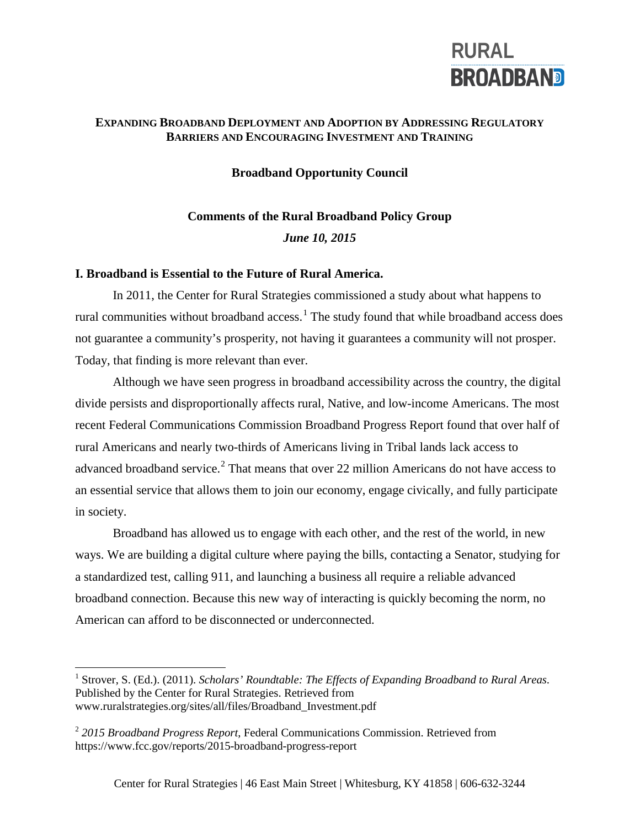# **RURAL BROADBAND**

## **EXPANDING BROADBAND DEPLOYMENT AND ADOPTION BY ADDRESSING REGULATORY BARRIERS AND ENCOURAGING INVESTMENT AND TRAINING**

## **Broadband Opportunity Council**

# **Comments of the Rural Broadband Policy Group**  *June 10, 2015*

### **I. Broadband is Essential to the Future of Rural America.**

In 2011, the Center for Rural Strategies commissioned a study about what happens to rural communities without broadband access.<sup>[1](#page-1-0)</sup> The study found that while broadband access does not guarantee a community's prosperity, not having it guarantees a community will not prosper. Today, that finding is more relevant than ever.

Although we have seen progress in broadband accessibility across the country, the digital divide persists and disproportionally affects rural, Native, and low-income Americans. The most recent Federal Communications Commission Broadband Progress Report found that over half of rural Americans and nearly two-thirds of Americans living in Tribal lands lack access to advanced broadband service.<sup>[2](#page-1-1)</sup> That means that over 22 million Americans do not have access to an essential service that allows them to join our economy, engage civically, and fully participate in society.

Broadband has allowed us to engage with each other, and the rest of the world, in new ways. We are building a digital culture where paying the bills, contacting a Senator, studying for a standardized test, calling 911, and launching a business all require a reliable advanced broadband connection. Because this new way of interacting is quickly becoming the norm, no American can afford to be disconnected or underconnected.

<span id="page-1-0"></span><sup>&</sup>lt;sup>1</sup> Strover, S. (Ed.). (2011). *Scholars' Roundtable: The Effects of Expanding Broadband to Rural Areas.* Published by the Center for Rural Strategies. Retrieved from www.ruralstrategies.org/sites/all/files/Broadband\_Investment.pdf

<span id="page-1-1"></span><sup>2</sup> *2015 Broadband Progress Report*, Federal Communications Commission. Retrieved from https://www.fcc.gov/reports/2015-broadband-progress-report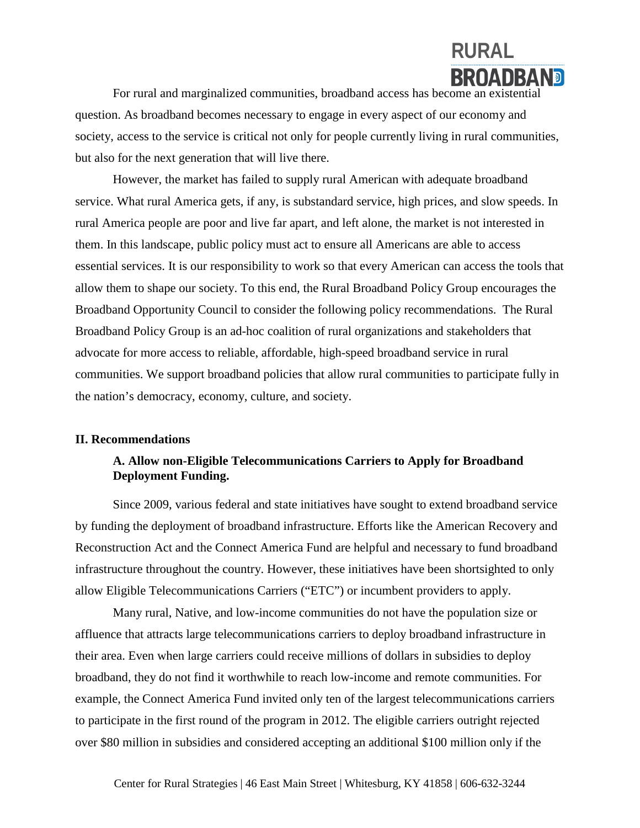

For rural and marginalized communities, broadband access has become an existential question. As broadband becomes necessary to engage in every aspect of our economy and society, access to the service is critical not only for people currently living in rural communities, but also for the next generation that will live there.

However, the market has failed to supply rural American with adequate broadband service. What rural America gets, if any, is substandard service, high prices, and slow speeds. In rural America people are poor and live far apart, and left alone, the market is not interested in them. In this landscape, public policy must act to ensure all Americans are able to access essential services. It is our responsibility to work so that every American can access the tools that allow them to shape our society. To this end, the Rural Broadband Policy Group encourages the Broadband Opportunity Council to consider the following policy recommendations. The Rural Broadband Policy Group is an ad-hoc coalition of rural organizations and stakeholders that advocate for more access to reliable, affordable, high-speed broadband service in rural communities. We support broadband policies that allow rural communities to participate fully in the nation's democracy, economy, culture, and society.

### **II. Recommendations**

## **A. Allow non-Eligible Telecommunications Carriers to Apply for Broadband Deployment Funding.**

Since 2009, various federal and state initiatives have sought to extend broadband service by funding the deployment of broadband infrastructure. Efforts like the American Recovery and Reconstruction Act and the Connect America Fund are helpful and necessary to fund broadband infrastructure throughout the country. However, these initiatives have been shortsighted to only allow Eligible Telecommunications Carriers ("ETC") or incumbent providers to apply.

Many rural, Native, and low-income communities do not have the population size or affluence that attracts large telecommunications carriers to deploy broadband infrastructure in their area. Even when large carriers could receive millions of dollars in subsidies to deploy broadband, they do not find it worthwhile to reach low-income and remote communities. For example, the Connect America Fund invited only ten of the largest telecommunications carriers to participate in the first round of the program in 2012. The eligible carriers outright rejected over \$80 million in subsidies and considered accepting an additional \$100 million only if the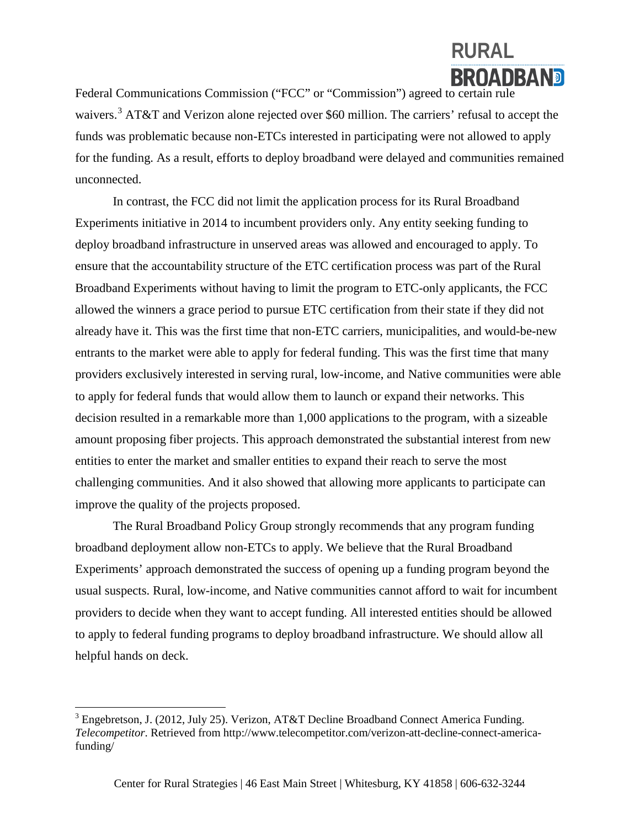# **RURAL BROADBAND**

Federal Communications Commission ("FCC" or "Commission") agreed to certain rule waivers.<sup>[3](#page-3-0)</sup> AT&T and Verizon alone rejected over \$60 million. The carriers' refusal to accept the funds was problematic because non-ETCs interested in participating were not allowed to apply for the funding. As a result, efforts to deploy broadband were delayed and communities remained unconnected.

In contrast, the FCC did not limit the application process for its Rural Broadband Experiments initiative in 2014 to incumbent providers only. Any entity seeking funding to deploy broadband infrastructure in unserved areas was allowed and encouraged to apply. To ensure that the accountability structure of the ETC certification process was part of the Rural Broadband Experiments without having to limit the program to ETC-only applicants, the FCC allowed the winners a grace period to pursue ETC certification from their state if they did not already have it. This was the first time that non-ETC carriers, municipalities, and would-be-new entrants to the market were able to apply for federal funding. This was the first time that many providers exclusively interested in serving rural, low-income, and Native communities were able to apply for federal funds that would allow them to launch or expand their networks. This decision resulted in a remarkable more than 1,000 applications to the program, with a sizeable amount proposing fiber projects. This approach demonstrated the substantial interest from new entities to enter the market and smaller entities to expand their reach to serve the most challenging communities. And it also showed that allowing more applicants to participate can improve the quality of the projects proposed.

The Rural Broadband Policy Group strongly recommends that any program funding broadband deployment allow non-ETCs to apply. We believe that the Rural Broadband Experiments' approach demonstrated the success of opening up a funding program beyond the usual suspects. Rural, low-income, and Native communities cannot afford to wait for incumbent providers to decide when they want to accept funding. All interested entities should be allowed to apply to federal funding programs to deploy broadband infrastructure. We should allow all helpful hands on deck.

<span id="page-3-0"></span><sup>&</sup>lt;sup>3</sup> Engebretson, J. (2012, July 25). Verizon, AT&T Decline Broadband Connect America Funding. *Telecompetitor*. Retrieved from http://www.telecompetitor.com/verizon-att-decline-connect-americafunding/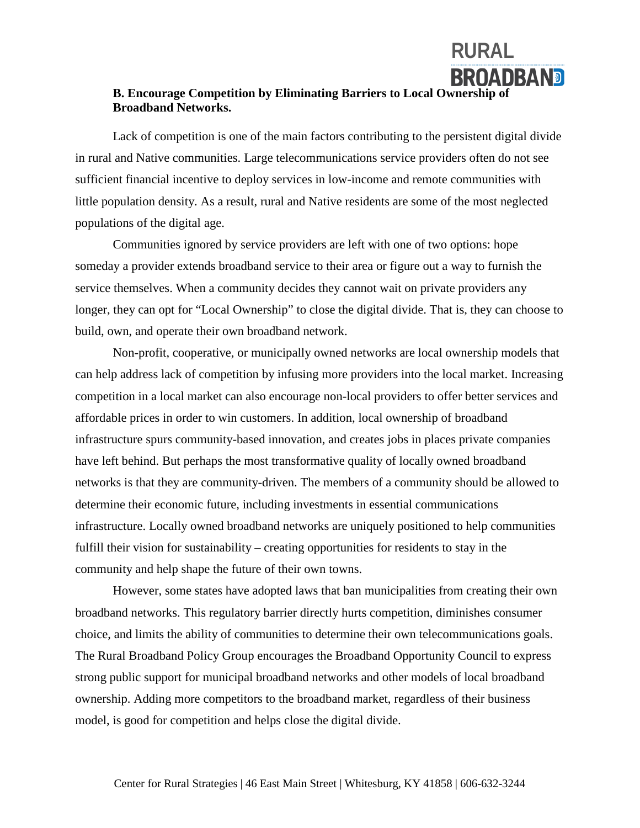## **BROADBAND B. Encourage Competition by Eliminating Barriers to Local Ownership of Broadband Networks.**

**RURAL**

Lack of competition is one of the main factors contributing to the persistent digital divide in rural and Native communities. Large telecommunications service providers often do not see sufficient financial incentive to deploy services in low-income and remote communities with little population density. As a result, rural and Native residents are some of the most neglected populations of the digital age.

Communities ignored by service providers are left with one of two options: hope someday a provider extends broadband service to their area or figure out a way to furnish the service themselves. When a community decides they cannot wait on private providers any longer, they can opt for "Local Ownership" to close the digital divide. That is, they can choose to build, own, and operate their own broadband network.

Non-profit, cooperative, or municipally owned networks are local ownership models that can help address lack of competition by infusing more providers into the local market. Increasing competition in a local market can also encourage non-local providers to offer better services and affordable prices in order to win customers. In addition, local ownership of broadband infrastructure spurs community-based innovation, and creates jobs in places private companies have left behind. But perhaps the most transformative quality of locally owned broadband networks is that they are community-driven. The members of a community should be allowed to determine their economic future, including investments in essential communications infrastructure. Locally owned broadband networks are uniquely positioned to help communities fulfill their vision for sustainability – creating opportunities for residents to stay in the community and help shape the future of their own towns.

However, some states have adopted laws that ban municipalities from creating their own broadband networks. This regulatory barrier directly hurts competition, diminishes consumer choice, and limits the ability of communities to determine their own telecommunications goals. The Rural Broadband Policy Group encourages the Broadband Opportunity Council to express strong public support for municipal broadband networks and other models of local broadband ownership. Adding more competitors to the broadband market, regardless of their business model, is good for competition and helps close the digital divide.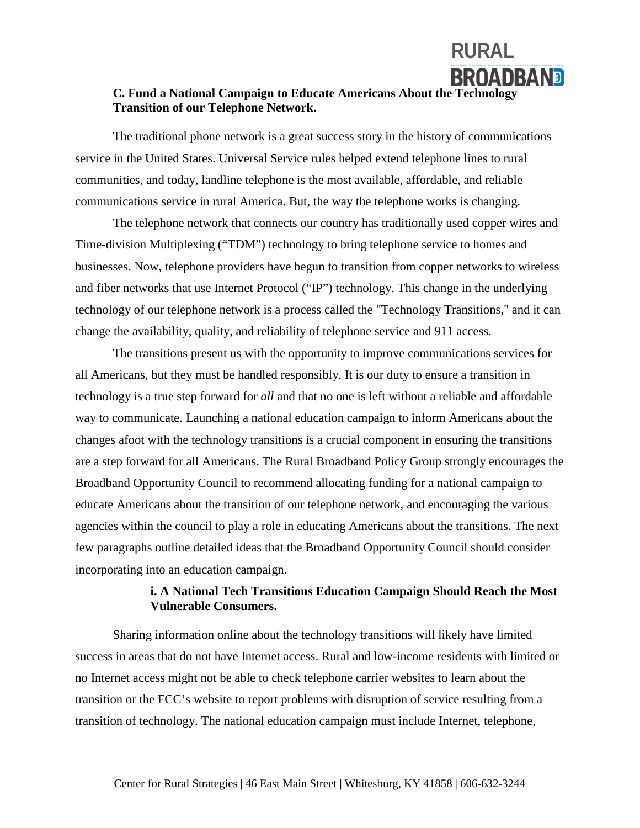## **C. Fund a National Campaign to Educate Americans About the Technology Transition of our Telephone Network.**

**RURAL**

**BROADBAND** 

The traditional phone network is a great success story in the history of communications service in the United States. Universal Service rules helped extend telephone lines to rural communities, and today, landline telephone is the most available, affordable, and reliable communications service in rural America. But, the way the telephone works is changing.

The telephone network that connects our country has traditionally used copper wires and Time-division Multiplexing ("TDM") technology to bring telephone service to homes and businesses. Now, telephone providers have begun to transition from copper networks to wireless and fiber networks that use Internet Protocol ("IP") technology. This change in the underlying technology of our telephone network is a process called the "Technology Transitions," and it can change the availability, quality, and reliability of telephone service and 911 access.

The transitions present us with the opportunity to improve communications services for all Americans, but they must be handled responsibly. It is our duty to ensure a transition in technology is a true step forward for *all* and that no one is left without a reliable and affordable way to communicate. Launching a national education campaign to inform Americans about the changes afoot with the technology transitions is a crucial component in ensuring the transitions are a step forward for all Americans. The Rural Broadband Policy Group strongly encourages the Broadband Opportunity Council to recommend allocating funding for a national campaign to educate Americans about the transition of our telephone network, and encouraging the various agencies within the council to play a role in educating Americans about the transitions. The next few paragraphs outline detailed ideas that the Broadband Opportunity Council should consider incorporating into an education campaign.

### **i. A National Tech Transitions Education Campaign Should Reach the Most Vulnerable Consumers.**

Sharing information online about the technology transitions will likely have limited success in areas that do not have Internet access. Rural and low-income residents with limited or no Internet access might not be able to check telephone carrier websites to learn about the transition or the FCC's website to report problems with disruption of service resulting from a transition of technology. The national education campaign must include Internet, telephone,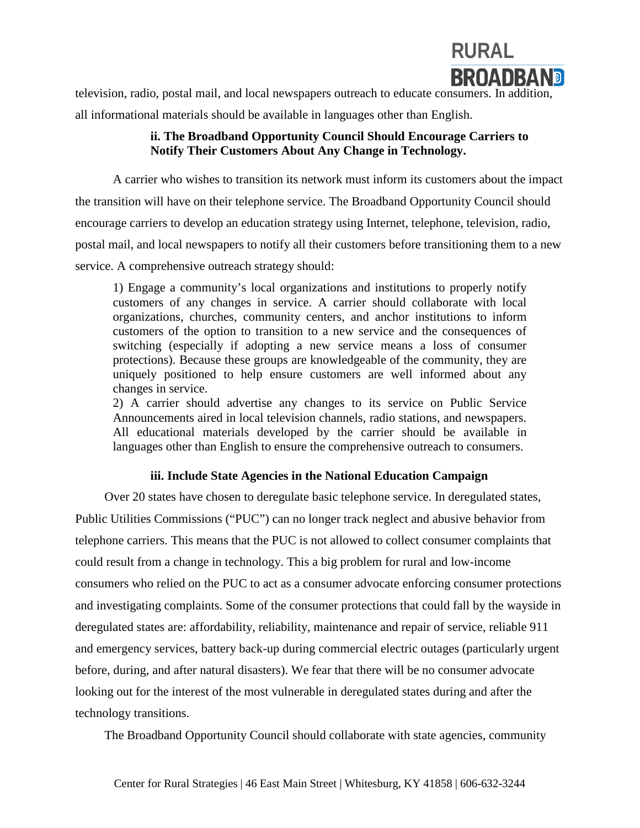

television, radio, postal mail, and local newspapers outreach to educate consumers. In addition,

all informational materials should be available in languages other than English.

## **ii. The Broadband Opportunity Council Should Encourage Carriers to Notify Their Customers About Any Change in Technology.**

A carrier who wishes to transition its network must inform its customers about the impact the transition will have on their telephone service. The Broadband Opportunity Council should encourage carriers to develop an education strategy using Internet, telephone, television, radio, postal mail, and local newspapers to notify all their customers before transitioning them to a new service. A comprehensive outreach strategy should:

1) Engage a community's local organizations and institutions to properly notify customers of any changes in service. A carrier should collaborate with local organizations, churches, community centers, and anchor institutions to inform customers of the option to transition to a new service and the consequences of switching (especially if adopting a new service means a loss of consumer protections). Because these groups are knowledgeable of the community, they are uniquely positioned to help ensure customers are well informed about any changes in service.

2) A carrier should advertise any changes to its service on Public Service Announcements aired in local television channels, radio stations, and newspapers. All educational materials developed by the carrier should be available in languages other than English to ensure the comprehensive outreach to consumers.

## **iii. Include State Agencies in the National Education Campaign**

Over 20 states have chosen to deregulate basic telephone service. In deregulated states, Public Utilities Commissions ("PUC") can no longer track neglect and abusive behavior from telephone carriers. This means that the PUC is not allowed to collect consumer complaints that could result from a change in technology. This a big problem for rural and low-income consumers who relied on the PUC to act as a consumer advocate enforcing consumer protections and investigating complaints. Some of the consumer protections that could fall by the wayside in deregulated states are: affordability, reliability, maintenance and repair of service, reliable 911 and emergency services, battery back-up during commercial electric outages (particularly urgent before, during, and after natural disasters). We fear that there will be no consumer advocate looking out for the interest of the most vulnerable in deregulated states during and after the technology transitions.

The Broadband Opportunity Council should collaborate with state agencies, community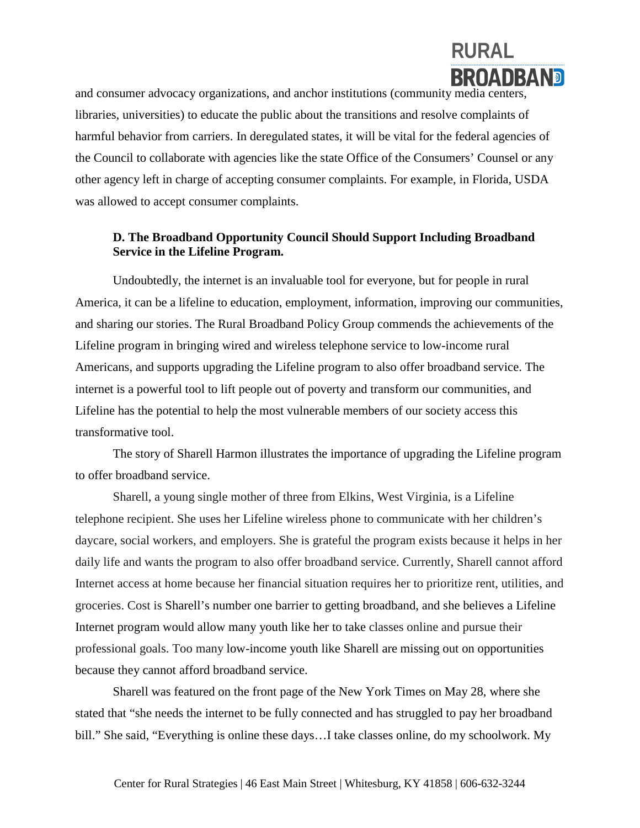

and consumer advocacy organizations, and anchor institutions (community media centers, libraries, universities) to educate the public about the transitions and resolve complaints of harmful behavior from carriers. In deregulated states, it will be vital for the federal agencies of the Council to collaborate with agencies like the state Office of the Consumers' Counsel or any other agency left in charge of accepting consumer complaints. For example, in Florida, USDA was allowed to accept consumer complaints.

## **D. The Broadband Opportunity Council Should Support Including Broadband Service in the Lifeline Program.**

Undoubtedly, the internet is an invaluable tool for everyone, but for people in rural America, it can be a lifeline to education, employment, information, improving our communities, and sharing our stories. The Rural Broadband Policy Group commends the achievements of the Lifeline program in bringing wired and wireless telephone service to low-income rural Americans, and supports upgrading the Lifeline program to also offer broadband service. The internet is a powerful tool to lift people out of poverty and transform our communities, and Lifeline has the potential to help the most vulnerable members of our society access this transformative tool.

The story of Sharell Harmon illustrates the importance of upgrading the Lifeline program to offer broadband service.

Sharell, a young single mother of three from Elkins, West Virginia, is a Lifeline telephone recipient. She uses her Lifeline wireless phone to communicate with her children's daycare, social workers, and employers. She is grateful the program exists because it helps in her daily life and wants the program to also offer broadband service. Currently, Sharell cannot afford Internet access at home because her financial situation requires her to prioritize rent, utilities, and groceries. Cost is Sharell's number one barrier to getting broadband, and she believes a Lifeline Internet program would allow many youth like her to take classes online and pursue their professional goals. Too many low-income youth like Sharell are missing out on opportunities because they cannot afford broadband service.

Sharell was featured on the front page of the New York Times on May 28, where she stated that "she needs the internet to be fully connected and has struggled to pay her broadband bill." She said, "Everything is online these days…I take classes online, do my schoolwork. My